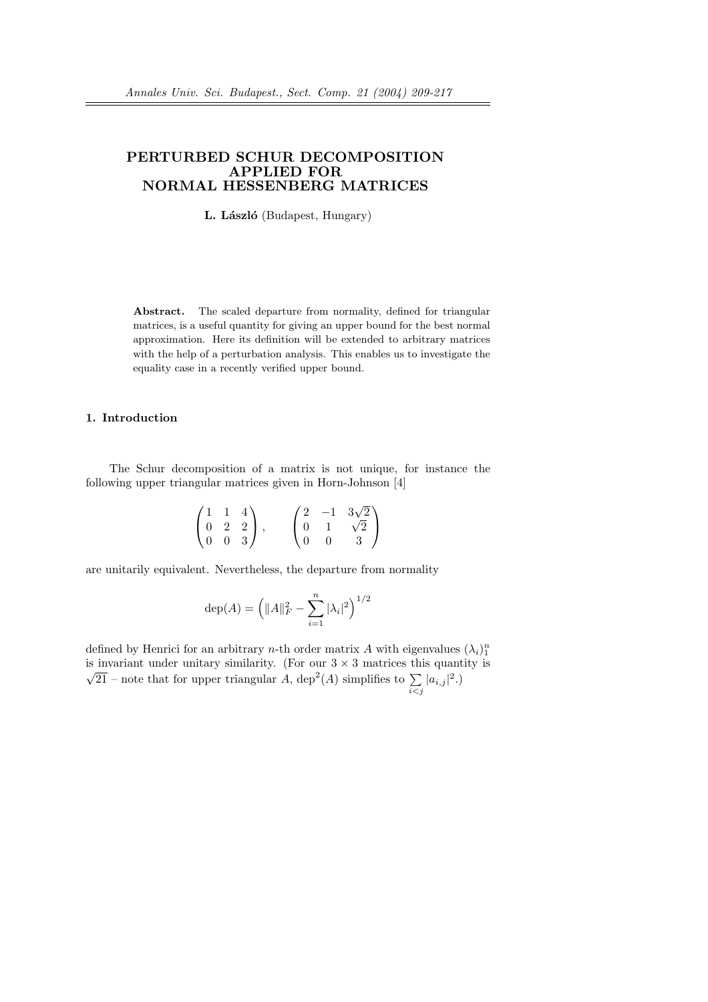# PERTURBED SCHUR DECOMPOSITION APPLIED FOR NORMAL HESSENBERG MATRICES

L. László (Budapest, Hungary)

Abstract. The scaled departure from normality, defined for triangular matrices, is a useful quantity for giving an upper bound for the best normal approximation. Here its definition will be extended to arbitrary matrices with the help of a perturbation analysis. This enables us to investigate the equality case in a recently verified upper bound.

## 1. Introduction

The Schur decomposition of a matrix is not unique, for instance the following upper triangular matrices given in Horn-Johnson [4]

$$
\begin{pmatrix} 1 & 1 & 4 \ 0 & 2 & 2 \ 0 & 0 & 3 \end{pmatrix}, \qquad \begin{pmatrix} 2 & -1 & 3\sqrt{2} \\ 0 & 1 & \sqrt{2} \\ 0 & 0 & 3 \end{pmatrix}
$$

are unitarily equivalent. Nevertheless, the departure from normality

$$
\text{dep}(A) = \left( \|A\|_F^2 - \sum_{i=1}^n |\lambda_i|^2 \right)^{1/2}
$$

defined by Henrici for an arbitrary *n*-th order matrix A with eigenvalues  $(\lambda_i)_1^n$ is invariant under unitary similarity. (For our  $3 \times 3$  matrices this quantity is is invariant under unitary similarity. (For our  $3 \times 3$  matrices the  $\sqrt{21}$  – note that for upper triangular A, dep<sup>2</sup>(A) simplifies to  $\sum$  $\sum_{i < j} |a_{i,j}|^2.$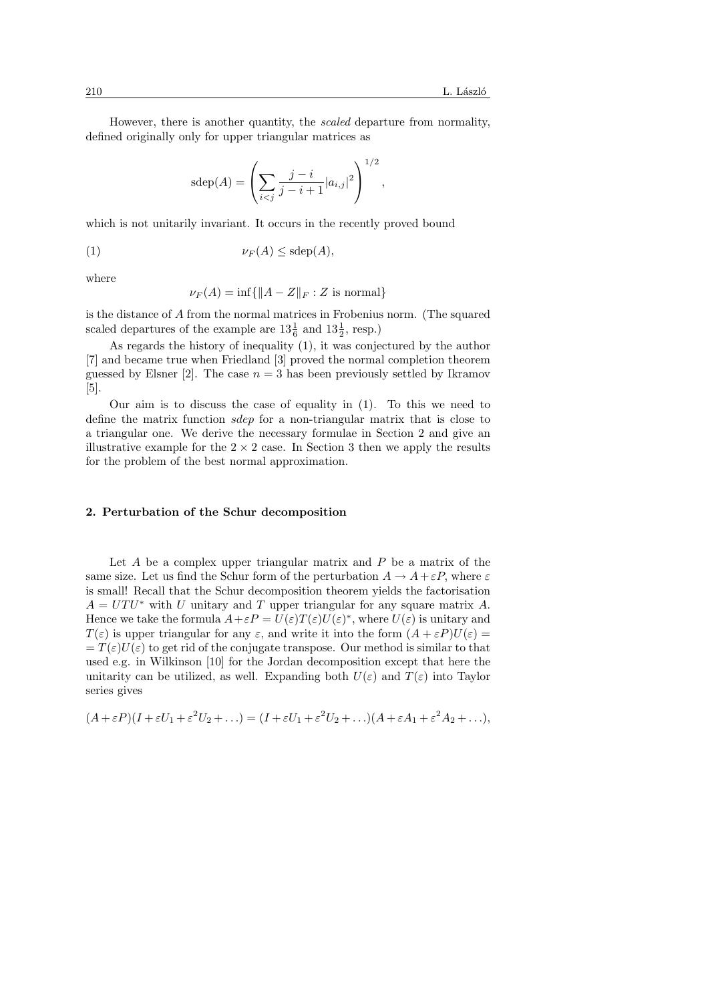However, there is another quantity, the scaled departure from normality, defined originally only for upper triangular matrices as

$$
sdep(A) = \left(\sum_{i < j} \frac{j - i}{j - i + 1} |a_{i,j}|^2\right)^{1/2},
$$

which is not unitarily invariant. It occurs in the recently proved bound

$$
\nu_F(A) \leq \text{sdep}(A),
$$

where

$$
\nu_F(A) = \inf\{\|A - Z\|_F : Z \text{ is normal}\}
$$

is the distance of A from the normal matrices in Frobenius norm. (The squared scaled departures of the example are  $13\frac{1}{6}$  and  $13\frac{1}{2}$ , resp.)

As regards the history of inequality (1), it was conjectured by the author [7] and became true when Friedland [3] proved the normal completion theorem guessed by Elsner [2]. The case  $n = 3$  has been previously settled by Ikramov [5].

Our aim is to discuss the case of equality in (1). To this we need to define the matrix function sdep for a non-triangular matrix that is close to a triangular one. We derive the necessary formulae in Section 2 and give an illustrative example for the  $2 \times 2$  case. In Section 3 then we apply the results for the problem of the best normal approximation.

### 2. Perturbation of the Schur decomposition

Let  $A$  be a complex upper triangular matrix and  $P$  be a matrix of the same size. Let us find the Schur form of the perturbation  $A \to A + \varepsilon P$ , where  $\varepsilon$ is small! Recall that the Schur decomposition theorem yields the factorisation  $A = UTU^*$  with U unitary and T upper triangular for any square matrix A. Hence we take the formula  $A + \varepsilon P = U(\varepsilon)T(\varepsilon)U(\varepsilon)^*$ , where  $U(\varepsilon)$  is unitary and  $T(\varepsilon)$  is upper triangular for any  $\varepsilon$ , and write it into the form  $(A + \varepsilon P)U(\varepsilon) =$  $=T(\varepsilon)U(\varepsilon)$  to get rid of the conjugate transpose. Our method is similar to that used e.g. in Wilkinson [10] for the Jordan decomposition except that here the unitarity can be utilized, as well. Expanding both  $U(\varepsilon)$  and  $T(\varepsilon)$  into Taylor series gives

$$
(A + \varepsilon P)(I + \varepsilon U_1 + \varepsilon^2 U_2 + \ldots) = (I + \varepsilon U_1 + \varepsilon^2 U_2 + \ldots)(A + \varepsilon A_1 + \varepsilon^2 A_2 + \ldots),
$$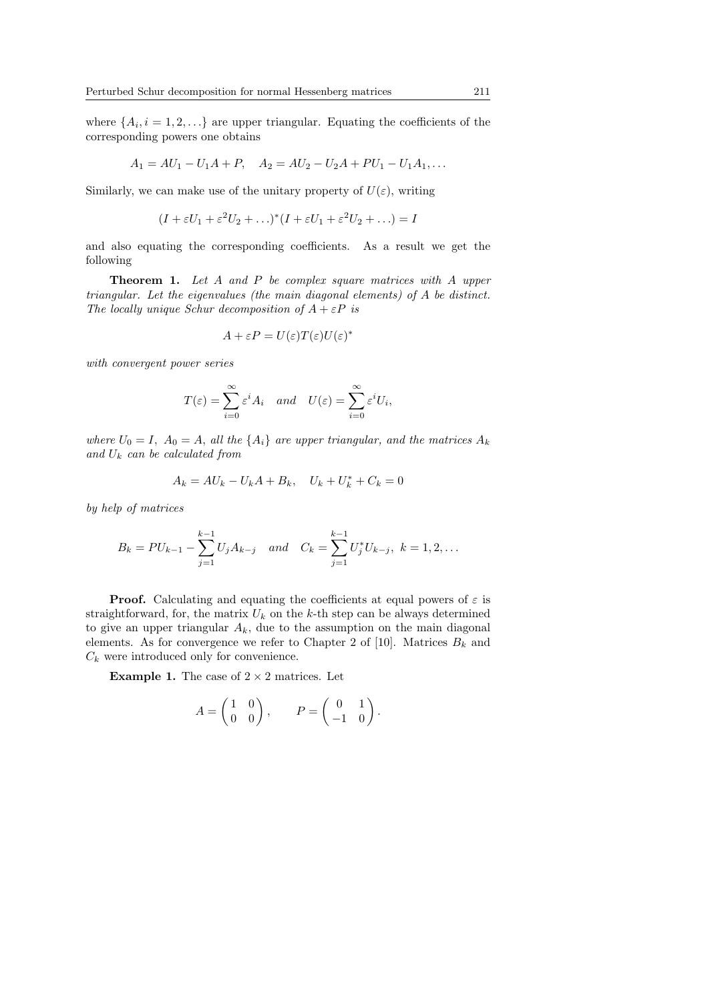where  $\{A_i, i = 1, 2, \ldots\}$  are upper triangular. Equating the coefficients of the corresponding powers one obtains

$$
A_1 = AU_1 - U_1A + P, \quad A_2 = AU_2 - U_2A + PU_1 - U_1A_1, \dots
$$

Similarly, we can make use of the unitary property of  $U(\varepsilon)$ , writing

$$
(I + \varepsilon U_1 + \varepsilon^2 U_2 + \ldots)^* (I + \varepsilon U_1 + \varepsilon^2 U_2 + \ldots) = I
$$

and also equating the corresponding coefficients. As a result we get the following

**Theorem 1.** Let A and P be complex square matrices with A upper triangular. Let the eigenvalues (the main diagonal elements) of A be distinct. The locally unique Schur decomposition of  $A + \varepsilon P$  is

$$
A + \varepsilon P = U(\varepsilon)T(\varepsilon)U(\varepsilon)^*
$$

with convergent power series

$$
T(\varepsilon) = \sum_{i=0}^{\infty} \varepsilon^i A_i \quad and \quad U(\varepsilon) = \sum_{i=0}^{\infty} \varepsilon^i U_i,
$$

where  $U_0 = I$ ,  $A_0 = A$ , all the  $\{A_i\}$  are upper triangular, and the matrices  $A_k$ and  $U_k$  can be calculated from

$$
A_k = AU_k - U_kA + B_k, \quad U_k + U_k^* + C_k = 0
$$

by help of matrices

$$
B_k = PU_{k-1} - \sum_{j=1}^{k-1} U_j A_{k-j} \quad and \quad C_k = \sum_{j=1}^{k-1} U_j^* U_{k-j}, \ k = 1, 2, \dots
$$

**Proof.** Calculating and equating the coefficients at equal powers of  $\varepsilon$  is straightforward, for, the matrix  $U_k$  on the k-th step can be always determined to give an upper triangular  $A_k$ , due to the assumption on the main diagonal elements. As for convergence we refer to Chapter 2 of [10]. Matrices  $B_k$  and  $C_k$  were introduced only for convenience.

**Example 1.** The case of  $2 \times 2$  matrices. Let

$$
A = \begin{pmatrix} 1 & 0 \\ 0 & 0 \end{pmatrix}, \qquad P = \begin{pmatrix} 0 & 1 \\ -1 & 0 \end{pmatrix}.
$$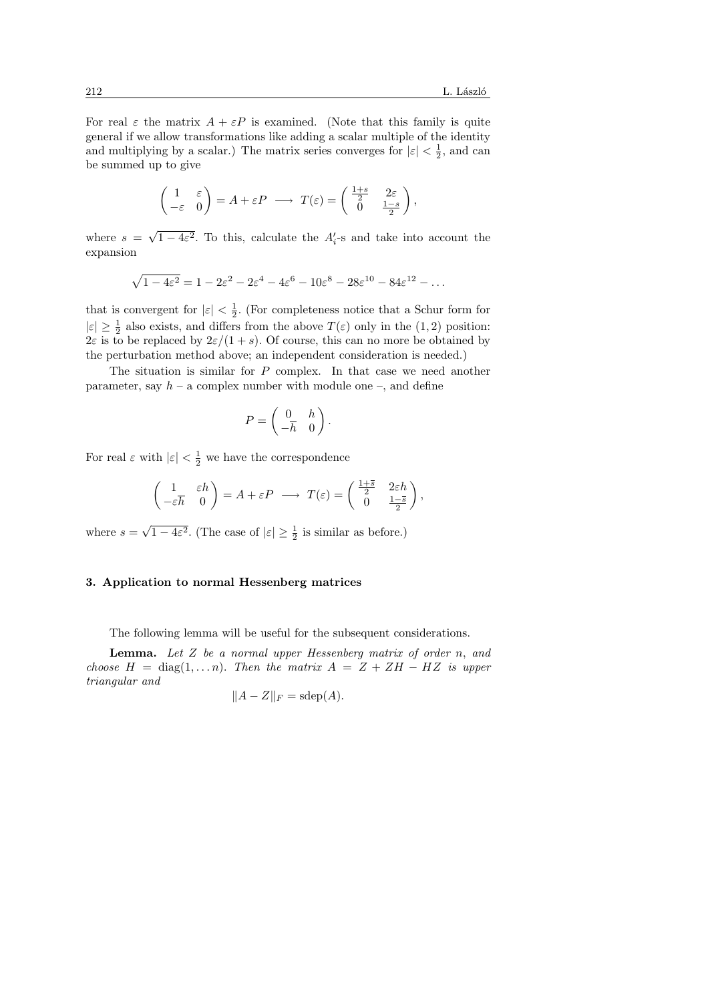For real  $\varepsilon$  the matrix  $A + \varepsilon P$  is examined. (Note that this family is quite general if we allow transformations like adding a scalar multiple of the identity and multiplying by a scalar.) The matrix series converges for  $|\varepsilon| < \frac{1}{2}$ , and can be summed up to give

$$
\begin{pmatrix} 1 & \varepsilon \\ -\varepsilon & 0 \end{pmatrix} = A + \varepsilon P \longrightarrow T(\varepsilon) = \begin{pmatrix} \frac{1+s}{2} & 2\varepsilon \\ 0 & \frac{1-s}{2} \end{pmatrix},
$$

where  $s =$ √  $\overline{1-4\varepsilon^2}$ . To this, calculate the  $A_i'$ -s and take into account the expansion

$$
\sqrt{1-4\varepsilon^2} = 1-2\varepsilon^2 - 2\varepsilon^4 - 4\varepsilon^6 - 10\varepsilon^8 - 28\varepsilon^{10} - 84\varepsilon^{12} - \dots
$$

that is convergent for  $|\varepsilon| < \frac{1}{2}$ . (For completeness notice that a Schur form for  $|\varepsilon| \geq \frac{1}{2}$  also exists, and differs from the above  $T(\varepsilon)$  only in the  $(1, 2)$  position:  $2\varepsilon$  is to be replaced by  $2\varepsilon/(1+s)$ . Of course, this can no more be obtained by the perturbation method above; an independent consideration is needed.)

The situation is similar for  $P$  complex. In that case we need another parameter, say  $h - a$  complex number with module one –, and define

$$
P = \begin{pmatrix} 0 & h \\ -\overline{h} & 0 \end{pmatrix}.
$$

For real  $\varepsilon$  with  $|\varepsilon| < \frac{1}{2}$  we have the correspondence

$$
\begin{pmatrix} 1 & \varepsilon h \\ -\varepsilon \overline{h} & 0 \end{pmatrix} = A + \varepsilon P \longrightarrow T(\varepsilon) = \begin{pmatrix} \frac{1 + \overline{s}}{2} & 2\varepsilon h \\ 0 & \frac{1 - \overline{s}}{2} \end{pmatrix},
$$

where  $s =$ √  $\overline{1-4\varepsilon^2}$ . (The case of  $|\varepsilon|\geq \frac{1}{2}$  is similar as before.)

### 3. Application to normal Hessenberg matrices

The following lemma will be useful for the subsequent considerations.

**Lemma.** Let  $Z$  be a normal upper Hessenberg matrix of order  $n$ , and choose  $H = \text{diag}(1, \ldots n)$ . Then the matrix  $A = Z + ZH - HZ$  is upper triangular and

$$
||A - Z||_F = \text{sdep}(A).
$$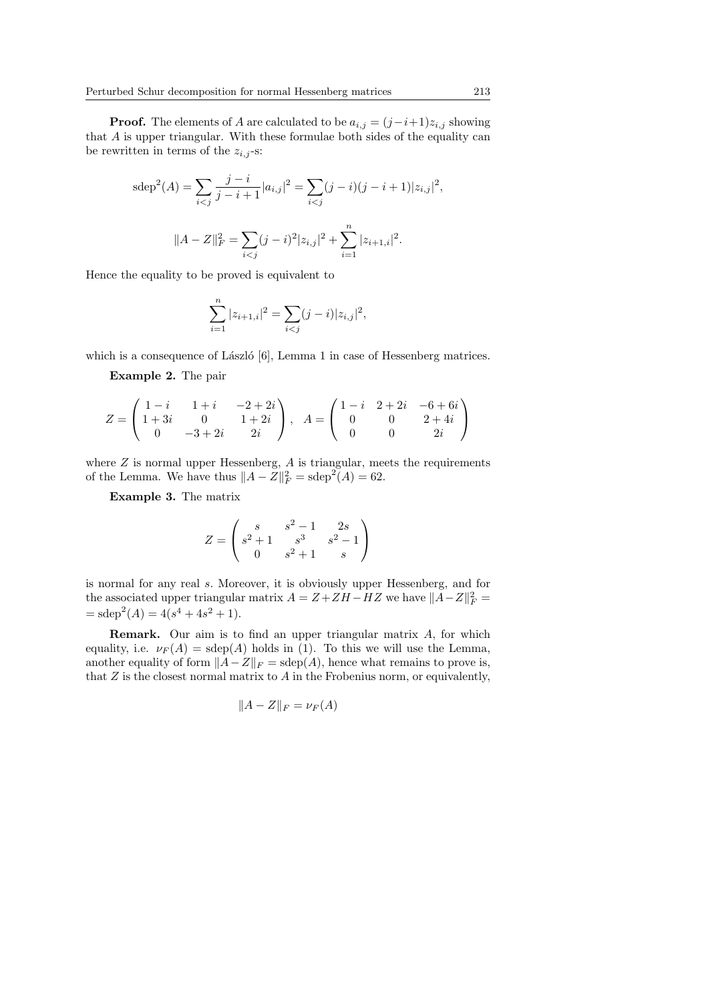**Proof.** The elements of A are calculated to be  $a_{i,j} = (j-i+1)z_{i,j}$  showing that A is upper triangular. With these formulae both sides of the equality can be rewritten in terms of the  $z_{i,j}$ -s:

$$
sdep2(A) = \sum_{i < j} \frac{j - i}{j - i + 1} |a_{i,j}|2 = \sum_{i < j} (j - i)(j - i + 1)|z_{i,j}|2,
$$
\n
$$
||A - Z||F2 = \sum_{i < j} (j - i)^{2} |z_{i,j}|2 + \sum_{i = 1}^{n} |z_{i+1,i}|2.
$$

Hence the equality to be proved is equivalent to

$$
\sum_{i=1}^{n} |z_{i+1,i}|^2 = \sum_{i < j} (j-i)|z_{i,j}|^2,
$$

which is a consequence of László  $[6]$ , Lemma 1 in case of Hessenberg matrices.

Example 2. The pair

$$
Z = \begin{pmatrix} 1-i & 1+i & -2+2i \\ 1+3i & 0 & 1+2i \\ 0 & -3+2i & 2i \end{pmatrix}, A = \begin{pmatrix} 1-i & 2+2i & -6+6i \\ 0 & 0 & 2+4i \\ 0 & 0 & 2i \end{pmatrix}
$$

where  $Z$  is normal upper Hessenberg,  $A$  is triangular, meets the requirements of the Lemma. We have thus  $||A - Z||_F^2 = \operatorname{sdep}^2(A) = 62$ .

Example 3. The matrix

$$
Z = \begin{pmatrix} s & s^2 - 1 & 2s \\ s^2 + 1 & s^3 & s^2 - 1 \\ 0 & s^2 + 1 & s \end{pmatrix}
$$

is normal for any real s. Moreover, it is obviously upper Hessenberg, and for the associated upper triangular matrix  $A = Z + ZH - HZ$  we have  $||A - Z||_F^2 =$  $=\text{sdep}^2(A) = 4(s^4 + 4s^2 + 1).$ 

Remark. Our aim is to find an upper triangular matrix A, for which equality, i.e.  $\nu_F(A) = \text{sdep}(A)$  holds in (1). To this we will use the Lemma, another equality of form  $||A-Z||_F = \text{sdep}(A)$ , hence what remains to prove is, that  $Z$  is the closest normal matrix to  $A$  in the Frobenius norm, or equivalently,

$$
||A - Z||_F = \nu_F(A)
$$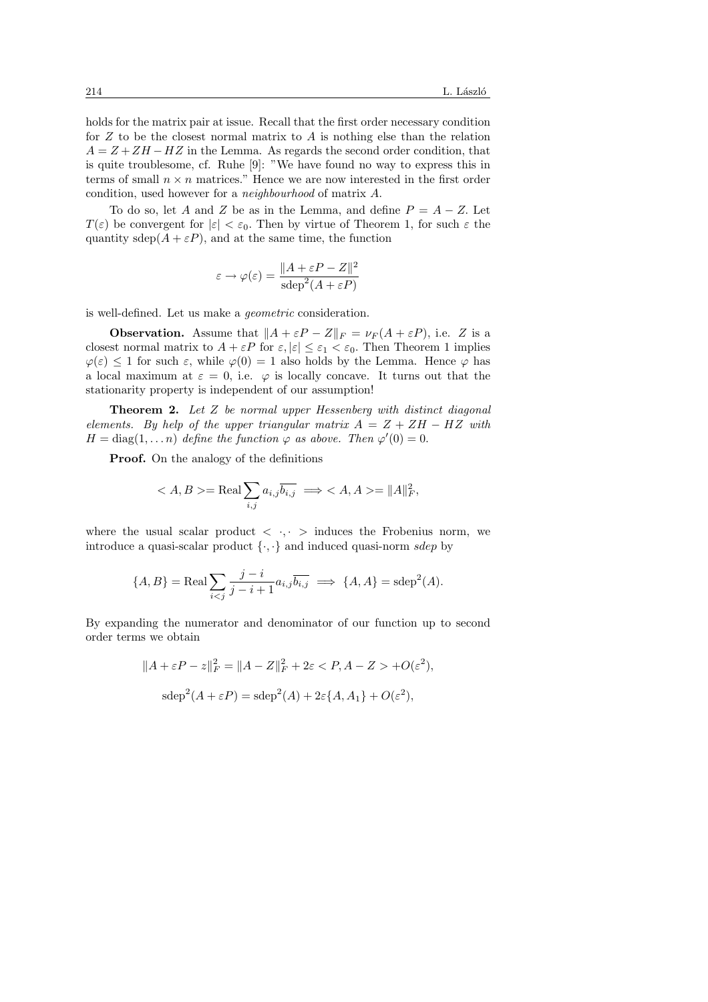holds for the matrix pair at issue. Recall that the first order necessary condition for  $Z$  to be the closest normal matrix to  $\tilde{A}$  is nothing else than the relation  $A = Z + ZH - HZ$  in the Lemma. As regards the second order condition, that is quite troublesome, cf. Ruhe [9]: "We have found no way to express this in terms of small  $n \times n$  matrices." Hence we are now interested in the first order condition, used however for a neighbourhood of matrix A.

To do so, let A and Z be as in the Lemma, and define  $P = A - Z$ . Let  $T(\varepsilon)$  be convergent for  $|\varepsilon| < \varepsilon_0$ . Then by virtue of Theorem 1, for such  $\varepsilon$  the quantity sdep $(A + \varepsilon P)$ , and at the same time, the function

$$
\varepsilon \to \varphi(\varepsilon) = \frac{\|A + \varepsilon P - Z\|^2}{\text{sdep}^2(A + \varepsilon P)}
$$

is well-defined. Let us make a geometric consideration.

**Observation.** Assume that  $||A + \varepsilon P - Z||_F = \nu_F (A + \varepsilon P)$ , i.e. Z is a closest normal matrix to  $A + \varepsilon P$  for  $\varepsilon, |\varepsilon| \leq \varepsilon_1 < \varepsilon_0$ . Then Theorem 1 implies  $\varphi(\varepsilon) \leq 1$  for such  $\varepsilon$ , while  $\varphi(0) = 1$  also holds by the Lemma. Hence  $\varphi$  has a local maximum at  $\varepsilon = 0$ , i.e.  $\varphi$  is locally concave. It turns out that the stationarity property is independent of our assumption!

**Theorem 2.** Let  $Z$  be normal upper Hessenberg with distinct diagonal elements. By help of the upper triangular matrix  $A = Z + ZH - HZ$  with  $H = \text{diag}(1, \dots n)$  define the function  $\varphi$  as above. Then  $\varphi'(0) = 0$ .

**Proof.** On the analogy of the definitions

$$
\langle A, B \rangle = \text{Real} \sum_{i,j} a_{i,j} \overline{b_{i,j}} \implies \langle A, A \rangle = ||A||_F^2,
$$

where the usual scalar product  $\langle \cdot, \cdot \rangle$  induces the Frobenius norm, we introduce a quasi-scalar product  $\{\cdot,\cdot\}$  and induced quasi-norm sdep by

$$
\{A, B\} = \text{Real} \sum_{i < j} \frac{j - i}{j - i + 1} a_{i,j} \overline{b_{i,j}} \implies \{A, A\} = \text{sdep}^2(A).
$$

By expanding the numerator and denominator of our function up to second order terms we obtain

$$
||A + \varepsilon P - z||_F^2 = ||A - Z||_F^2 + 2\varepsilon < P, A - Z > +O(\varepsilon^2),
$$
  

$$
sdep^2(A + \varepsilon P) = sdep^2(A) + 2\varepsilon \{A, A_1\} + O(\varepsilon^2),
$$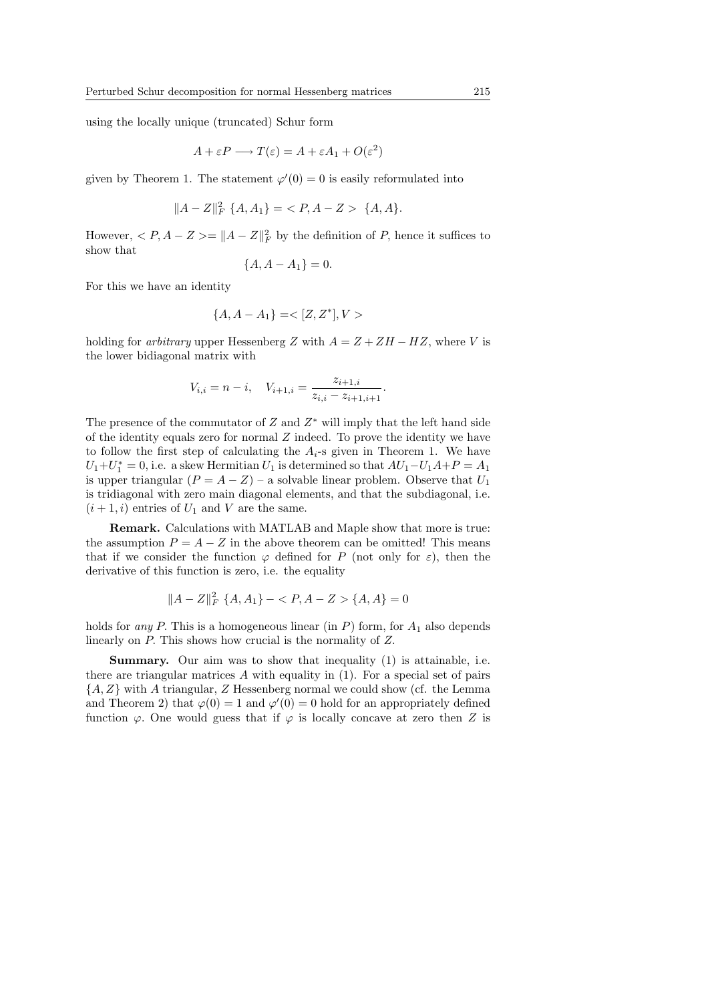using the locally unique (truncated) Schur form

$$
A + \varepsilon P \longrightarrow T(\varepsilon) = A + \varepsilon A_1 + O(\varepsilon^2)
$$

given by Theorem 1. The statement  $\varphi'(0) = 0$  is easily reformulated into

$$
||A - Z||_F^2 \{A, A_1\} = \langle P, A - Z \rangle \{A, A\}.
$$

However,  $\langle P, A - Z \rangle = ||A - Z||_F^2$  by the definition of P, hence it suffices to show that

$$
\{A, A - A_1\} = 0.
$$

For this we have an identity

$$
\{A, A - A_1\} = <[Z, Z^*], V>
$$

holding for *arbitrary* upper Hessenberg Z with  $A = Z + ZH - HZ$ , where V is the lower bidiagonal matrix with

$$
V_{i,i} = n - i, \quad V_{i+1,i} = \frac{z_{i+1,i}}{z_{i,i} - z_{i+1,i+1}}.
$$

The presence of the commutator of  $Z$  and  $Z^*$  will imply that the left hand side of the identity equals zero for normal  $Z$  indeed. To prove the identity we have to follow the first step of calculating the  $A_i$ -s given in Theorem 1. We have  $U_1+U_1^* = 0$ , i.e. a skew Hermitian  $U_1$  is determined so that  $AU_1-U_1A+P = A_1$ is upper triangular  $(P = A - Z)$  – a solvable linear problem. Observe that  $U_1$ is tridiagonal with zero main diagonal elements, and that the subdiagonal, i.e.  $(i + 1, i)$  entries of  $U_1$  and V are the same.

Remark. Calculations with MATLAB and Maple show that more is true: the assumption  $P = A - Z$  in the above theorem can be omitted! This means that if we consider the function  $\varphi$  defined for P (not only for  $\varepsilon$ ), then the derivative of this function is zero, i.e. the equality

$$
||A - Z||_F^2 \{A, A_1\} - \langle P, A - Z \rangle \{A, A\} = 0
$$

holds for *any P*. This is a homogeneous linear (in  $P$ ) form, for  $A_1$  also depends linearly on P. This shows how crucial is the normality of Z.

Summary. Our aim was to show that inequality (1) is attainable, i.e. there are triangular matrices  $\tilde{A}$  with equality in (1). For a special set of pairs  $\{A, Z\}$  with A triangular, Z Hessenberg normal we could show (cf. the Lemma and Theorem 2) that  $\varphi(0) = 1$  and  $\varphi'(0) = 0$  hold for an appropriately defined function  $\varphi$ . One would guess that if  $\varphi$  is locally concave at zero then Z is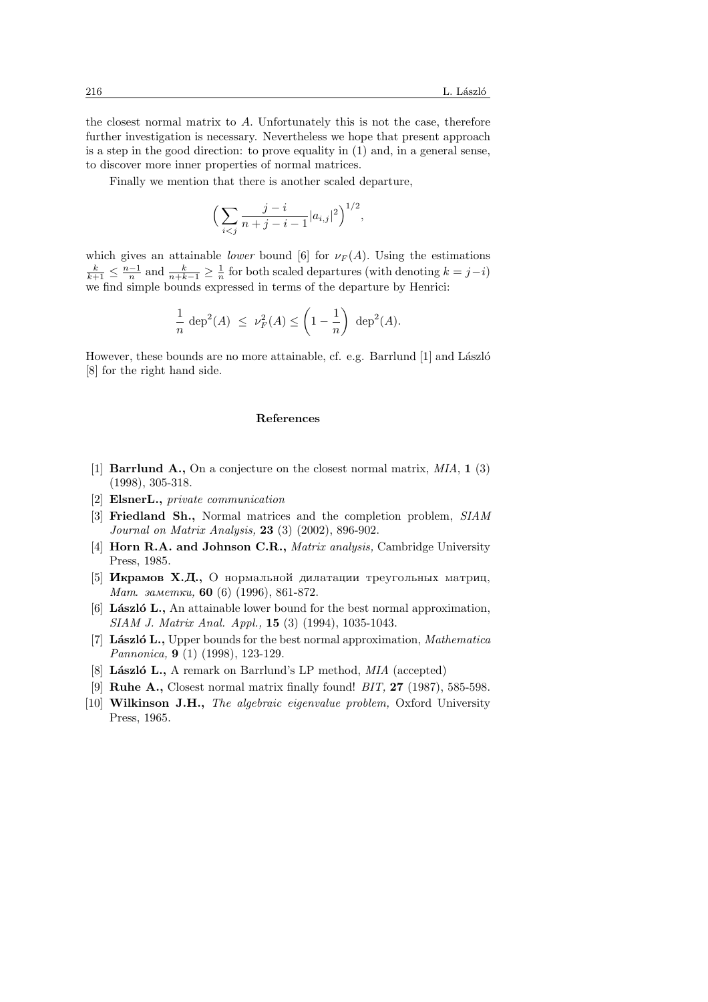the closest normal matrix to  $A$ . Unfortunately this is not the case, therefore further investigation is necessary. Nevertheless we hope that present approach is a step in the good direction: to prove equality in (1) and, in a general sense, to discover more inner properties of normal matrices.

Finally we mention that there is another scaled departure,

$$
\Big(\sum_{i < j} \frac{j - i}{n + j - i - 1} |a_{i,j}|^2\Big)^{1/2},
$$

which gives an attainable *lower* bound [6] for  $\nu_F(A)$ . Using the estimations  $\frac{k}{k+1} \leq \frac{n-1}{n}$  and  $\frac{k}{n+k-1} \geq \frac{1}{n}$  for both scaled departures (with denoting  $k = j-i$ ) we find simple bounds expressed in terms of the departure by Henrici:

$$
\frac{1}{n} \, \deg^2(A) \ \leq \ \nu_F^2(A) \leq \left(1 - \frac{1}{n}\right) \, \deg^2(A).
$$

However, these bounds are no more attainable, cf. e.g. Barrlund  $[1]$  and László [8] for the right hand side.

#### References

- [1] **Barrlund A.**, On a conjecture on the closest normal matrix,  $MIA$ , 1 (3) (1998), 305-318.
- [2] ElsnerL., private communication
- [3] Friedland Sh., Normal matrices and the completion problem, SIAM Journal on Matrix Analysis, 23 (3) (2002), 896-902.
- [4] **Horn R.A. and Johnson C.R.,** *Matrix analysis*, Cambridge University Press, 1985.
- [5] **Икрамов Х.Д.,** О нормальной дилатации треугольных матриц, Mam.  $a$ метки, 60 (6) (1996), 861-872.
- [6] **László L.**, An attainable lower bound for the best normal approximation, SIAM J. Matrix Anal. Appl., 15 (3) (1994), 1035-1043.
- [7] **László L.**, Upper bounds for the best normal approximation, *Mathematica* Pannonica, 9 (1) (1998), 123-129.
- [8] László L., A remark on Barrlund's LP method, MIA (accepted)
- [9] **Ruhe A.,** Closest normal matrix finally found!  $BIT$ ,  $27$  (1987), 585-598.
- [10] Wilkinson J.H., The algebraic eigenvalue problem, Oxford University Press, 1965.